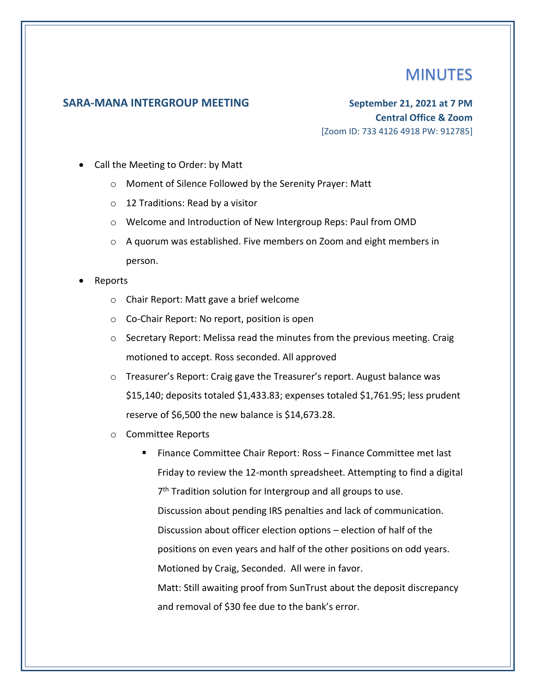## **MINUTES**

## **SARA-MANA INTERGROUP MEETING September 21, 2021 at 7 PM**

**Central Office & Zoom** [Zoom ID: 733 4126 4918 PW: 912785]

- Call the Meeting to Order: by Matt
	- o Moment of Silence Followed by the Serenity Prayer: Matt
	- o 12 Traditions: Read by a visitor
	- o Welcome and Introduction of New Intergroup Reps: Paul from OMD
	- $\circ$  A quorum was established. Five members on Zoom and eight members in person.
- Reports
	- o Chair Report: Matt gave a brief welcome
	- o Co-Chair Report: No report, position is open
	- o Secretary Report: Melissa read the minutes from the previous meeting. Craig motioned to accept. Ross seconded. All approved
	- $\circ$  Treasurer's Report: Craig gave the Treasurer's report. August balance was \$15,140; deposits totaled \$1,433.83; expenses totaled \$1,761.95; less prudent reserve of \$6,500 the new balance is \$14,673.28.
	- o Committee Reports
		- Finance Committee Chair Report: Ross Finance Committee met last Friday to review the 12-month spreadsheet. Attempting to find a digital 7<sup>th</sup> Tradition solution for Intergroup and all groups to use. Discussion about pending IRS penalties and lack of communication. Discussion about officer election options – election of half of the positions on even years and half of the other positions on odd years. Motioned by Craig, Seconded. All were in favor. Matt: Still awaiting proof from SunTrust about the deposit discrepancy and removal of \$30 fee due to the bank's error.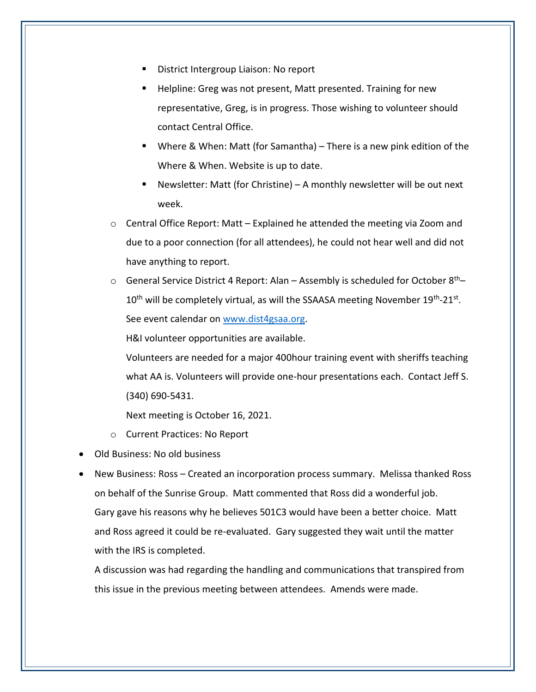- District Intergroup Liaison: No report
- Helpline: Greg was not present, Matt presented. Training for new representative, Greg, is in progress. Those wishing to volunteer should contact Central Office.
- Where & When: Matt (for Samantha) There is a new pink edition of the Where & When. Website is up to date.
- Newsletter: Matt (for Christine) A monthly newsletter will be out next week.
- $\circ$  Central Office Report: Matt Explained he attended the meeting via Zoom and due to a poor connection (for all attendees), he could not hear well and did not have anything to report.
- $\circ$  General Service District 4 Report: Alan Assembly is scheduled for October 8<sup>th</sup>–  $10^{\text{th}}$  will be completely virtual, as will the SSAASA meeting November  $19^{\text{th}}$ -21st. See event calendar on [www.dist4gsaa.org.](http://www.dist4gsaa.org/)

H&I volunteer opportunities are available.

Volunteers are needed for a major 400hour training event with sheriffs teaching what AA is. Volunteers will provide one-hour presentations each. Contact Jeff S. (340) 690-5431.

Next meeting is October 16, 2021.

- o Current Practices: No Report
- Old Business: No old business
- New Business: Ross Created an incorporation process summary. Melissa thanked Ross on behalf of the Sunrise Group. Matt commented that Ross did a wonderful job. Gary gave his reasons why he believes 501C3 would have been a better choice. Matt and Ross agreed it could be re-evaluated. Gary suggested they wait until the matter with the IRS is completed.

A discussion was had regarding the handling and communications that transpired from this issue in the previous meeting between attendees. Amends were made.